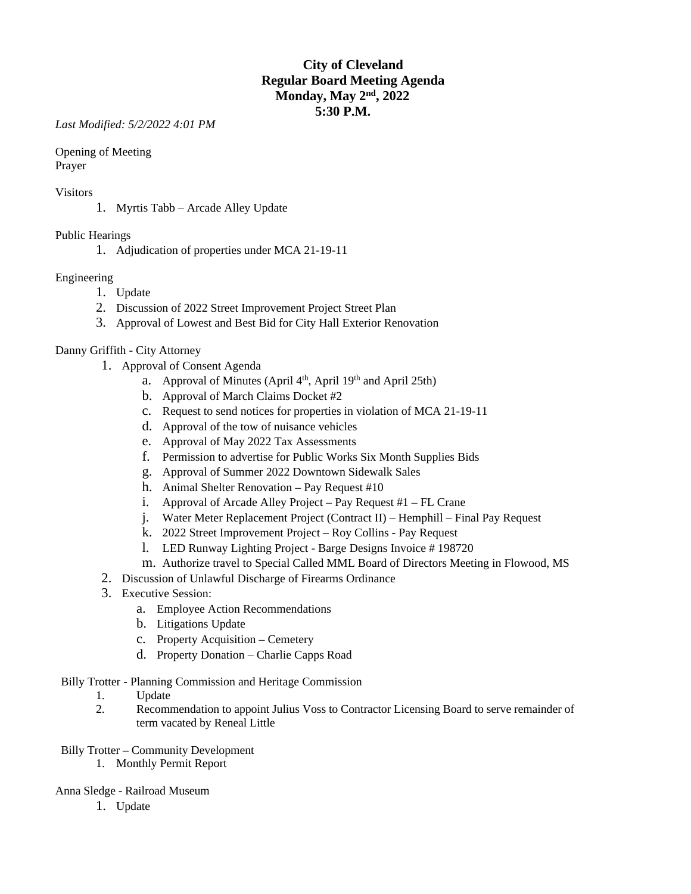# **City of Cleveland Regular Board Meeting Agenda Monday, May 2nd, 2022 5:30 P.M.**

*Last Modified: 5/2/2022 4:01 PM*

Opening of Meeting Prayer

### Visitors

1. Myrtis Tabb – Arcade Alley Update

## Public Hearings

1. Adjudication of properties under MCA 21-19-11

## Engineering

- 1. Update
- 2. Discussion of 2022 Street Improvement Project Street Plan
- 3. Approval of Lowest and Best Bid for City Hall Exterior Renovation

## Danny Griffith - City Attorney

- 1. Approval of Consent Agenda
	- a. Approval of Minutes (April  $4<sup>th</sup>$ , April  $19<sup>th</sup>$  and April 25th)
	- b. Approval of March Claims Docket #2
	- c. Request to send notices for properties in violation of MCA 21-19-11
	- d. Approval of the tow of nuisance vehicles
	- e. Approval of May 2022 Tax Assessments
	- f. Permission to advertise for Public Works Six Month Supplies Bids
	- g. Approval of Summer 2022 Downtown Sidewalk Sales
	- h. Animal Shelter Renovation Pay Request #10
	- i. Approval of Arcade Alley Project Pay Request #1 FL Crane
	- j. Water Meter Replacement Project (Contract II) Hemphill Final Pay Request
	- k. 2022 Street Improvement Project Roy Collins Pay Request
	- l. LED Runway Lighting Project Barge Designs Invoice # 198720
	- m. Authorize travel to Special Called MML Board of Directors Meeting in Flowood, MS
- 2. Discussion of Unlawful Discharge of Firearms Ordinance
- 3. Executive Session:
	- a. Employee Action Recommendations
	- b. Litigations Update
	- c. Property Acquisition Cemetery
	- d. Property Donation Charlie Capps Road

#### Billy Trotter - Planning Commission and Heritage Commission

- 1. Update<br>2. Recomm
- 2. Recommendation to appoint Julius Voss to Contractor Licensing Board to serve remainder of term vacated by Reneal Little

#### Billy Trotter – Community Development

1. Monthly Permit Report

#### Anna Sledge - Railroad Museum

1. Update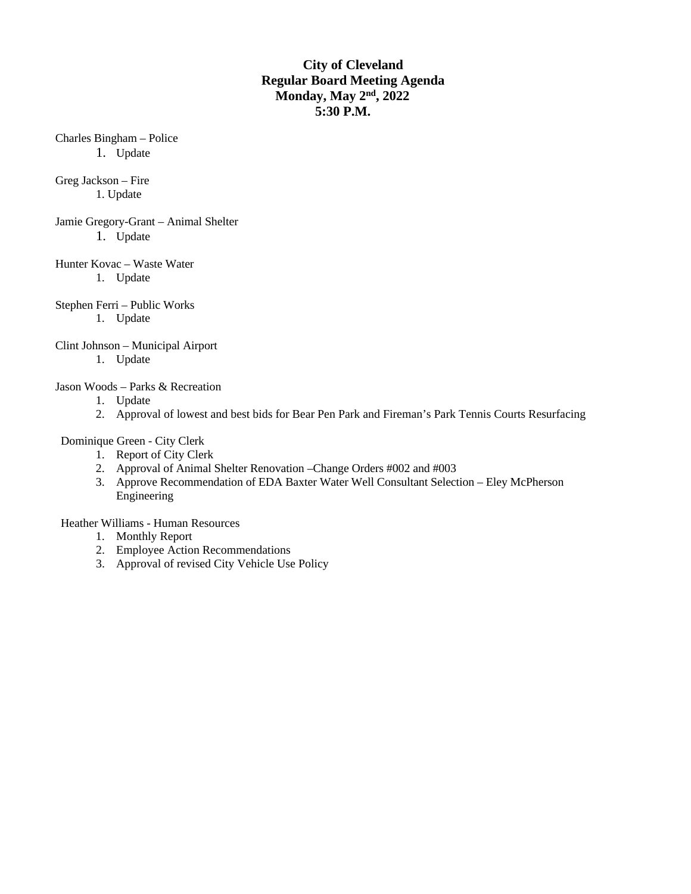# **City of Cleveland Regular Board Meeting Agenda Monday, May 2nd, 2022 5:30 P.M.**

Charles Bingham – Police

1. Update

Greg Jackson – Fire 1. Update

Jamie Gregory-Grant – Animal Shelter 1. Update

Hunter Kovac – Waste Water

1. Update

Stephen Ferri – Public Works

1. Update

Clint Johnson – Municipal Airport

1. Update

Jason Woods – Parks & Recreation

- 1. Update
- 2. Approval of lowest and best bids for Bear Pen Park and Fireman's Park Tennis Courts Resurfacing

Dominique Green - City Clerk

- 1. Report of City Clerk
- 2. Approval of Animal Shelter Renovation –Change Orders #002 and #003
- 3. Approve Recommendation of EDA Baxter Water Well Consultant Selection Eley McPherson Engineering

Heather Williams - Human Resources

- 1. Monthly Report
- 2. Employee Action Recommendations
- 3. Approval of revised City Vehicle Use Policy